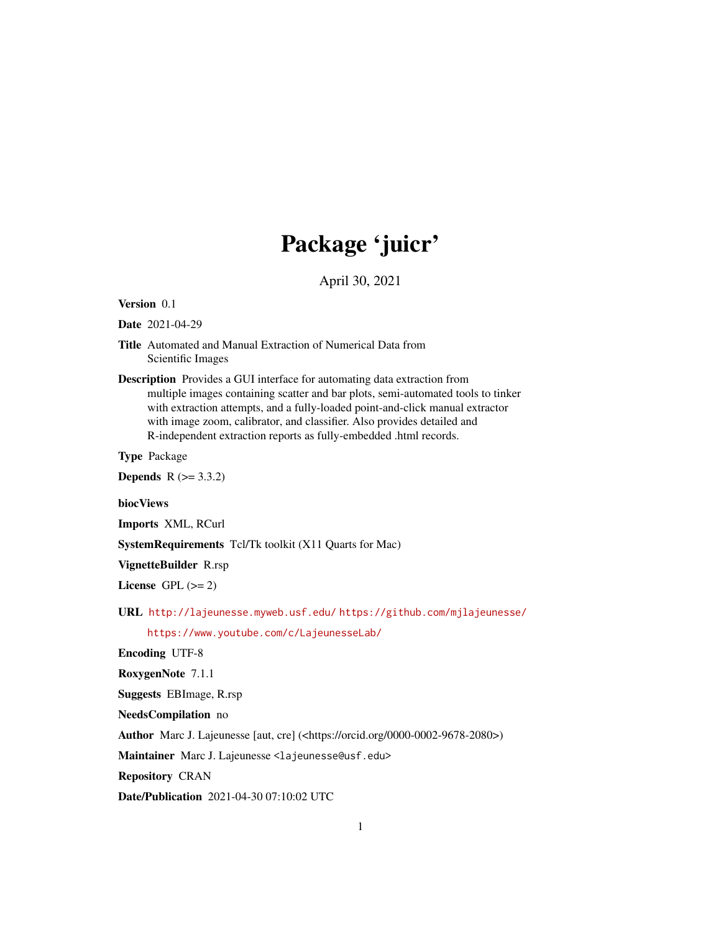# Package 'juicr'

April 30, 2021

Version 0.1

Date 2021-04-29

- Title Automated and Manual Extraction of Numerical Data from Scientific Images
- Description Provides a GUI interface for automating data extraction from multiple images containing scatter and bar plots, semi-automated tools to tinker with extraction attempts, and a fully-loaded point-and-click manual extractor with image zoom, calibrator, and classifier. Also provides detailed and R-independent extraction reports as fully-embedded .html records.

Type Package

**Depends**  $R$  ( $>= 3.3.2$ )

biocViews

Imports XML, RCurl

SystemRequirements Tcl/Tk toolkit (X11 Quarts for Mac)

VignetteBuilder R.rsp

License GPL  $(>= 2)$ 

URL <http://lajeunesse.myweb.usf.edu/> <https://github.com/mjlajeunesse/> <https://www.youtube.com/c/LajeunesseLab/>

Encoding UTF-8

RoxygenNote 7.1.1

Suggests EBImage, R.rsp

NeedsCompilation no

Author Marc J. Lajeunesse [aut, cre] (<https://orcid.org/0000-0002-9678-2080>)

Maintainer Marc J. Lajeunesse <lajeunesse@usf.edu>

Repository CRAN

Date/Publication 2021-04-30 07:10:02 UTC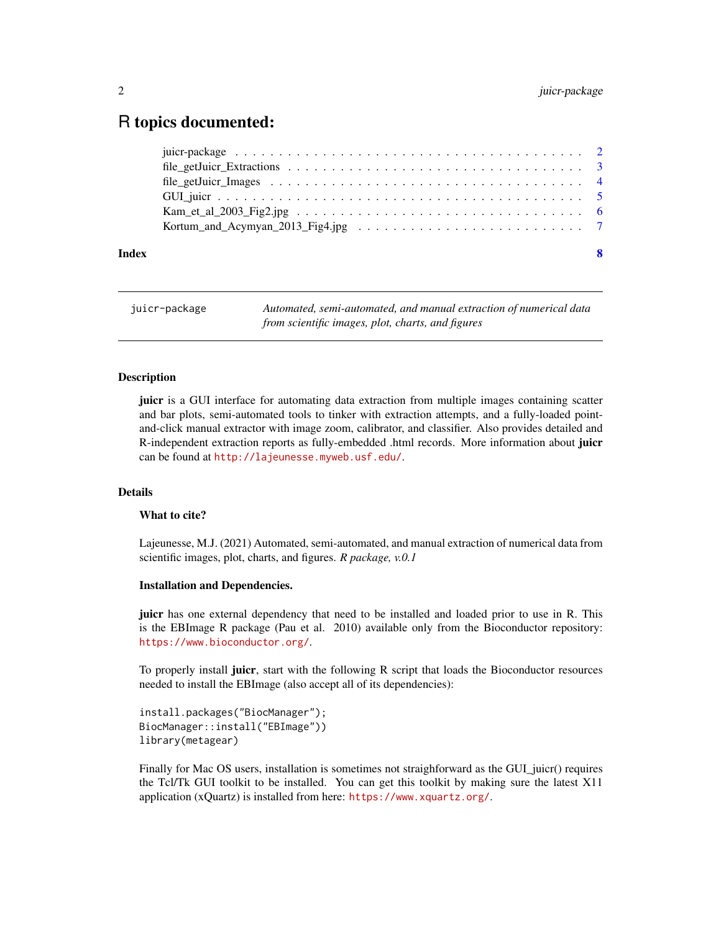# <span id="page-1-0"></span>R topics documented:

#### **Index** [8](#page-7-0) **8**

| juicr-package | Automated, semi-automated, and manual extraction of numerical data |
|---------------|--------------------------------------------------------------------|
|               | from scientific images, plot, charts, and figures                  |

#### Description

juicr is a GUI interface for automating data extraction from multiple images containing scatter and bar plots, semi-automated tools to tinker with extraction attempts, and a fully-loaded pointand-click manual extractor with image zoom, calibrator, and classifier. Also provides detailed and R-independent extraction reports as fully-embedded .html records. More information about juicr can be found at <http://lajeunesse.myweb.usf.edu/>.

#### Details

#### What to cite?

Lajeunesse, M.J. (2021) Automated, semi-automated, and manual extraction of numerical data from scientific images, plot, charts, and figures. *R package, v.0.1*

#### Installation and Dependencies.

juicr has one external dependency that need to be installed and loaded prior to use in R. This is the EBImage R package (Pau et al. 2010) available only from the Bioconductor repository: <https://www.bioconductor.org/>.

To properly install juicr, start with the following R script that loads the Bioconductor resources needed to install the EBImage (also accept all of its dependencies):

install.packages("BiocManager"); BiocManager::install("EBImage")) library(metagear)

Finally for Mac OS users, installation is sometimes not straighforward as the GUI\_juicr() requires the Tcl/Tk GUI toolkit to be installed. You can get this toolkit by making sure the latest X11 application (xQuartz) is installed from here: <https://www.xquartz.org/>.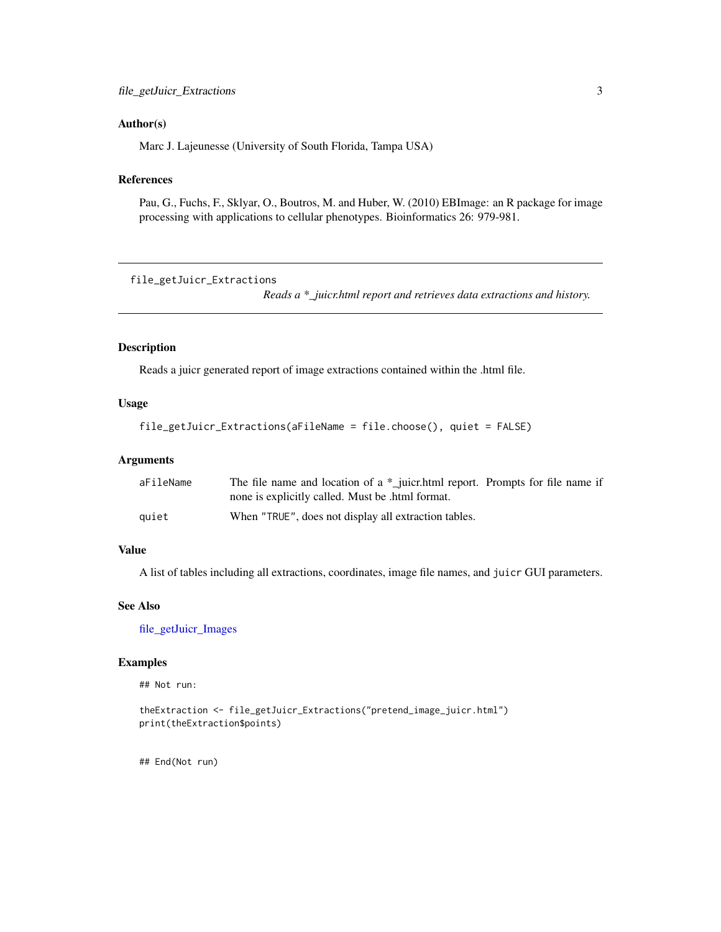#### <span id="page-2-0"></span>Author(s)

Marc J. Lajeunesse (University of South Florida, Tampa USA)

#### References

Pau, G., Fuchs, F., Sklyar, O., Boutros, M. and Huber, W. (2010) EBImage: an R package for image processing with applications to cellular phenotypes. Bioinformatics 26: 979-981.

<span id="page-2-1"></span>file\_getJuicr\_Extractions

*Reads a \*\_juicr.html report and retrieves data extractions and history.*

#### Description

Reads a juicr generated report of image extractions contained within the .html file.

#### Usage

```
file_getJuicr_Extractions(aFileName = file.choose(), quiet = FALSE)
```
#### Arguments

| aFileName | The file name and location of a *_juicr.html report. Prompts for file name if |  |
|-----------|-------------------------------------------------------------------------------|--|
|           | none is explicitly called. Must be .html format.                              |  |
| quiet     | When "TRUE", does not display all extraction tables.                          |  |

#### Value

A list of tables including all extractions, coordinates, image file names, and juicr GUI parameters.

#### See Also

[file\\_getJuicr\\_Images](#page-3-1)

#### Examples

## Not run:

```
theExtraction <- file_getJuicr_Extractions("pretend_image_juicr.html")
print(theExtraction$points)
```
## End(Not run)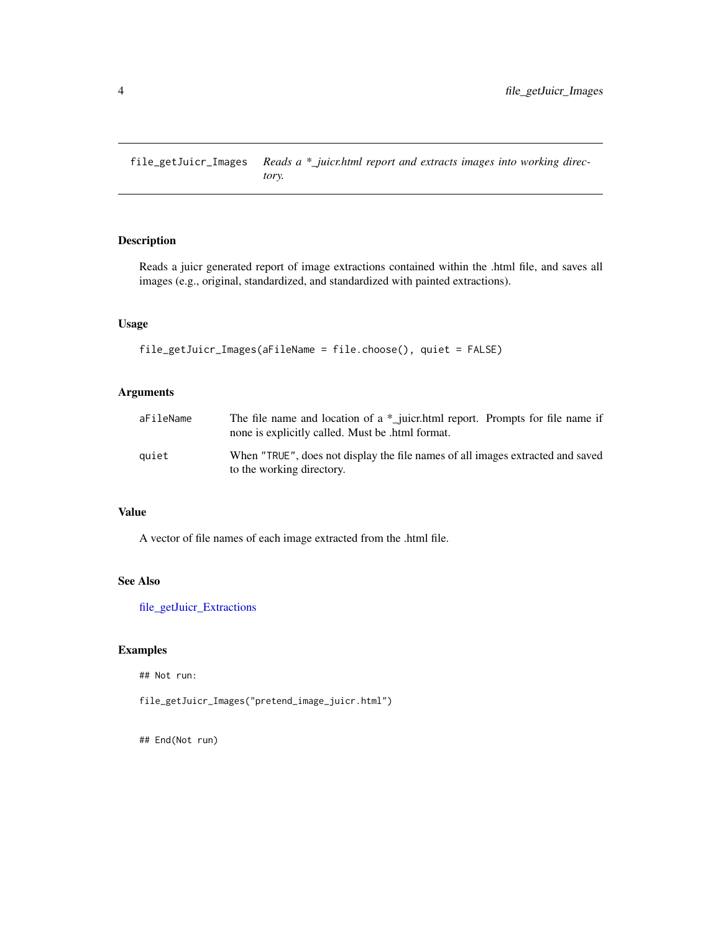<span id="page-3-1"></span><span id="page-3-0"></span>file\_getJuicr\_Images *Reads a \*\_juicr.html report and extracts images into working directory.*

# Description

Reads a juicr generated report of image extractions contained within the .html file, and saves all images (e.g., original, standardized, and standardized with painted extractions).

# Usage

```
file_getJuicr_Images(aFileName = file.choose(), quiet = FALSE)
```
# Arguments

| aFileName | The file name and location of a *_juicr.html report. Prompts for file name if<br>none is explicitly called. Must be .html format. |
|-----------|-----------------------------------------------------------------------------------------------------------------------------------|
| quiet     | When "TRUE", does not display the file names of all images extracted and saved<br>to the working directory.                       |

## Value

A vector of file names of each image extracted from the .html file.

#### See Also

[file\\_getJuicr\\_Extractions](#page-2-1)

#### Examples

## Not run:

file\_getJuicr\_Images("pretend\_image\_juicr.html")

## End(Not run)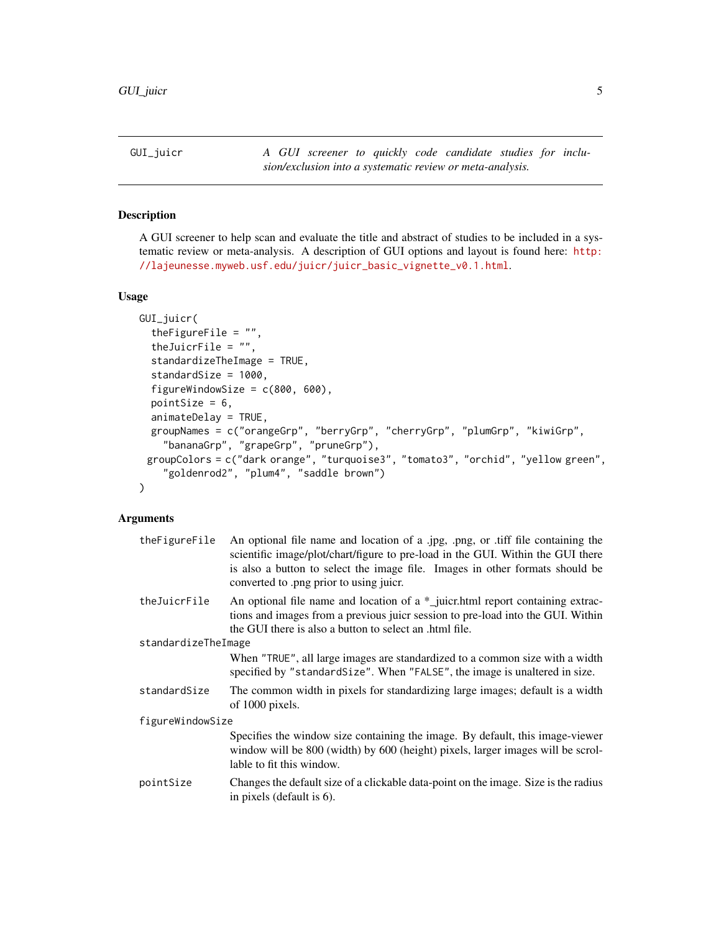<span id="page-4-0"></span>

# Description

A GUI screener to help scan and evaluate the title and abstract of studies to be included in a systematic review or meta-analysis. A description of GUI options and layout is found here: [http:](http://lajeunesse.myweb.usf.edu/juicr/juicr_basic_vignette_v0.1.html) [//lajeunesse.myweb.usf.edu/juicr/juicr\\_basic\\_vignette\\_v0.1.html](http://lajeunesse.myweb.usf.edu/juicr/juicr_basic_vignette_v0.1.html).

# Usage

```
GUI_juicr(
  the Figure File = "",
  theJuicrFile = ",
  standardizeTheImage = TRUE,
  standardSize = 1000,
  figureWindowSize = c(800, 600),
  pointSize = 6,
  animateDelay = TRUE,
  groupNames = c("orangeGrp", "berryGrp", "cherryGrp", "plumGrp", "kiwiGrp",
    "bananaGrp", "grapeGrp", "pruneGrp"),
 groupColors = c("dark orange", "turquoise3", "tomato3", "orchid", "yellow green",
    "goldenrod2", "plum4", "saddle brown")
)
```
#### Arguments

| theFigureFile       | An optional file name and location of a .jpg, .png, or .tiff file containing the<br>scientific image/plot/chart/figure to pre-load in the GUI. Within the GUI there<br>is also a button to select the image file. Images in other formats should be<br>converted to png prior to using juicr. |
|---------------------|-----------------------------------------------------------------------------------------------------------------------------------------------------------------------------------------------------------------------------------------------------------------------------------------------|
| theJuicrFile        | An optional file name and location of a *_juicr.html report containing extrac-<br>tions and images from a previous juicr session to pre-load into the GUI. Within<br>the GUI there is also a button to select an .html file.                                                                  |
| standardizeTheImage |                                                                                                                                                                                                                                                                                               |
|                     | When "TRUE", all large images are standardized to a common size with a width<br>specified by "standardSize". When "FALSE", the image is unaltered in size.                                                                                                                                    |
| standardSize        | The common width in pixels for standardizing large images; default is a width<br>of 1000 pixels.                                                                                                                                                                                              |
| figureWindowSize    |                                                                                                                                                                                                                                                                                               |
|                     | Specifies the window size containing the image. By default, this image-viewer<br>window will be 800 (width) by 600 (height) pixels, larger images will be scrol-<br>lable to fit this window.                                                                                                 |
| pointSize           | Changes the default size of a clickable data-point on the image. Size is the radius<br>in pixels (default is 6).                                                                                                                                                                              |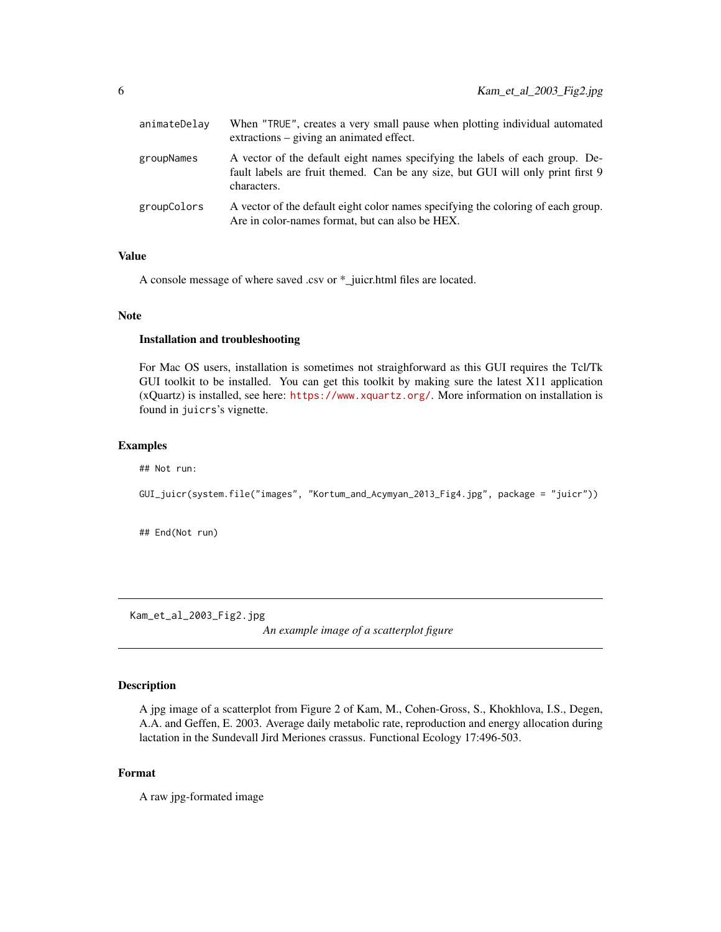<span id="page-5-0"></span>

| animateDelay | When "TRUE", creates a very small pause when plotting individual automated<br>extractions – giving an animated effect.                                                         |
|--------------|--------------------------------------------------------------------------------------------------------------------------------------------------------------------------------|
| groupNames   | A vector of the default eight names specifying the labels of each group. De-<br>fault labels are fruit themed. Can be any size, but GUI will only print first 9<br>characters. |
| groupColors  | A vector of the default eight color names specifying the coloring of each group.<br>Are in color-names format, but can also be HEX.                                            |

# Value

A console message of where saved .csv or \*\_juicr.html files are located.

#### Note

#### Installation and troubleshooting

For Mac OS users, installation is sometimes not straighforward as this GUI requires the Tcl/Tk GUI toolkit to be installed. You can get this toolkit by making sure the latest X11 application (xQuartz) is installed, see here: <https://www.xquartz.org/>. More information on installation is found in juicrs's vignette.

## Examples

## Not run:

GUI\_juicr(system.file("images", "Kortum\_and\_Acymyan\_2013\_Fig4.jpg", package = "juicr"))

## End(Not run)

Kam\_et\_al\_2003\_Fig2.jpg

*An example image of a scatterplot figure*

#### Description

A jpg image of a scatterplot from Figure 2 of Kam, M., Cohen-Gross, S., Khokhlova, I.S., Degen, A.A. and Geffen, E. 2003. Average daily metabolic rate, reproduction and energy allocation during lactation in the Sundevall Jird Meriones crassus. Functional Ecology 17:496-503.

#### Format

A raw jpg-formated image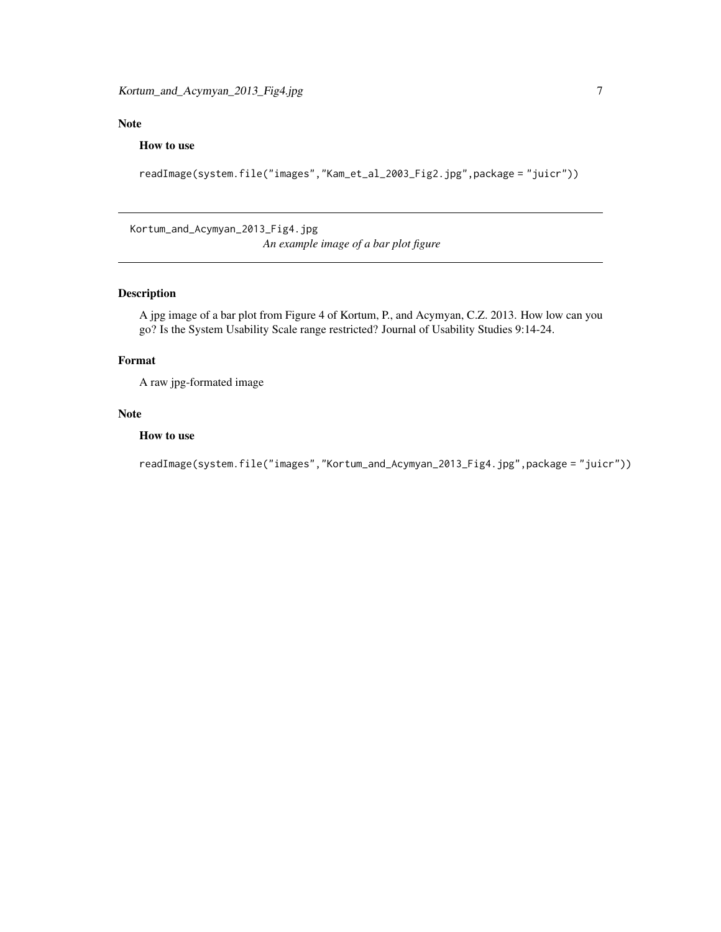# <span id="page-6-0"></span>Note

#### How to use

```
readImage(system.file("images","Kam_et_al_2003_Fig2.jpg",package = "juicr"))
```
Kortum\_and\_Acymyan\_2013\_Fig4.jpg

### *An example image of a bar plot figure*

# Description

A jpg image of a bar plot from Figure 4 of Kortum, P., and Acymyan, C.Z. 2013. How low can you go? Is the System Usability Scale range restricted? Journal of Usability Studies 9:14-24.

#### Format

A raw jpg-formated image

### Note

#### How to use

readImage(system.file("images","Kortum\_and\_Acymyan\_2013\_Fig4.jpg",package = "juicr"))